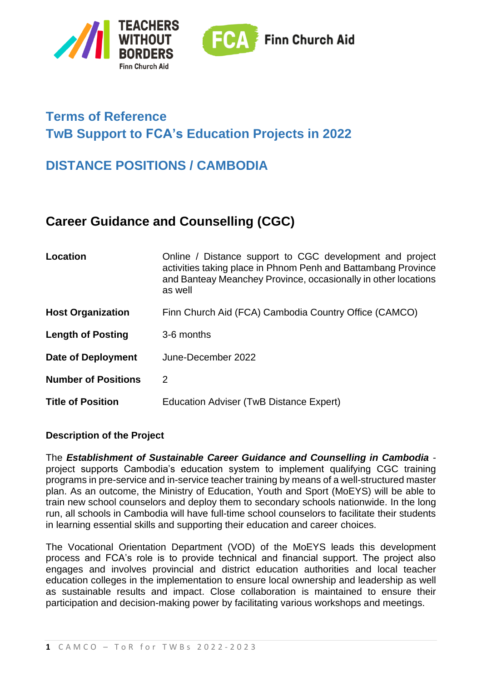



# **Terms of Reference TwB Support to FCA's Education Projects in 2022**

## **DISTANCE POSITIONS / CAMBODIA**

## **Career Guidance and Counselling (CGC)**

| Location                   | Online / Distance support to CGC development and project<br>activities taking place in Phnom Penh and Battambang Province<br>and Banteay Meanchey Province, occasionally in other locations<br>as well |
|----------------------------|--------------------------------------------------------------------------------------------------------------------------------------------------------------------------------------------------------|
| <b>Host Organization</b>   | Finn Church Aid (FCA) Cambodia Country Office (CAMCO)                                                                                                                                                  |
| <b>Length of Posting</b>   | 3-6 months                                                                                                                                                                                             |
| <b>Date of Deployment</b>  | June-December 2022                                                                                                                                                                                     |
| <b>Number of Positions</b> | 2                                                                                                                                                                                                      |
| <b>Title of Position</b>   | Education Adviser (TwB Distance Expert)                                                                                                                                                                |

### **Description of the Project**

The *Establishment of Sustainable Career Guidance and Counselling in Cambodia*  project supports Cambodia's education system to implement qualifying CGC training programs in pre-service and in-service teacher training by means of a well-structured master plan. As an outcome, the Ministry of Education, Youth and Sport (MoEYS) will be able to train new school counselors and deploy them to secondary schools nationwide. In the long run, all schools in Cambodia will have full-time school counselors to facilitate their students in learning essential skills and supporting their education and career choices.

The Vocational Orientation Department (VOD) of the MoEYS leads this development process and FCA's role is to provide technical and financial support. The project also engages and involves provincial and district education authorities and local teacher education colleges in the implementation to ensure local ownership and leadership as well as sustainable results and impact. Close collaboration is maintained to ensure their participation and decision-making power by facilitating various workshops and meetings.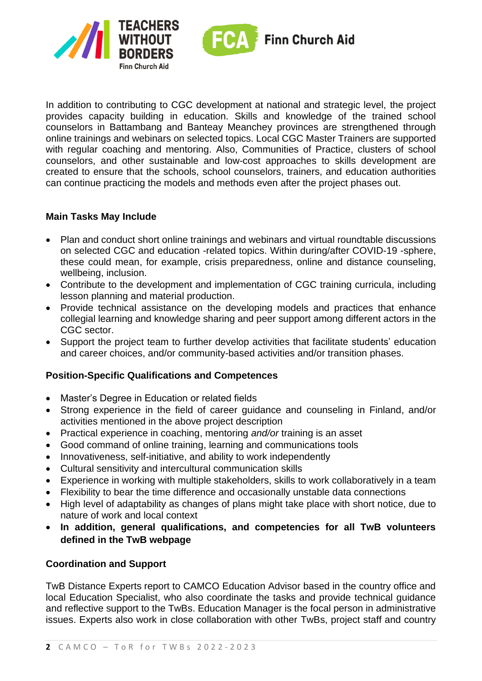



In addition to contributing to CGC development at national and strategic level, the project provides capacity building in education. Skills and knowledge of the trained school counselors in Battambang and Banteay Meanchey provinces are strengthened through online trainings and webinars on selected topics. Local CGC Master Trainers are supported with regular coaching and mentoring. Also, Communities of Practice, clusters of school counselors, and other sustainable and low-cost approaches to skills development are created to ensure that the schools, school counselors, trainers, and education authorities can continue practicing the models and methods even after the project phases out.

#### **Main Tasks May Include**

- Plan and conduct short online trainings and webinars and virtual roundtable discussions on selected CGC and education -related topics. Within during/after COVID-19 -sphere, these could mean, for example, crisis preparedness, online and distance counseling, wellbeing, inclusion.
- Contribute to the development and implementation of CGC training curricula, including lesson planning and material production.
- Provide technical assistance on the developing models and practices that enhance collegial learning and knowledge sharing and peer support among different actors in the CGC sector.
- Support the project team to further develop activities that facilitate students' education and career choices, and/or community-based activities and/or transition phases.

### **Position-Specific Qualifications and Competences**

- Master's Degree in Education or related fields
- Strong experience in the field of career guidance and counseling in Finland, and/or activities mentioned in the above project description
- Practical experience in coaching, mentoring *and/or* training is an asset
- Good command of online training, learning and communications tools
- Innovativeness, self-initiative, and ability to work independently
- Cultural sensitivity and intercultural communication skills
- Experience in working with multiple stakeholders, skills to work collaboratively in a team
- Flexibility to bear the time difference and occasionally unstable data connections
- High level of adaptability as changes of plans might take place with short notice, due to nature of work and local context
- **In addition, general qualifications, and competencies for all TwB volunteers defined in the TwB webpage**

### **Coordination and Support**

TwB Distance Experts report to CAMCO Education Advisor based in the country office and local Education Specialist, who also coordinate the tasks and provide technical guidance and reflective support to the TwBs. Education Manager is the focal person in administrative issues. Experts also work in close collaboration with other TwBs, project staff and country